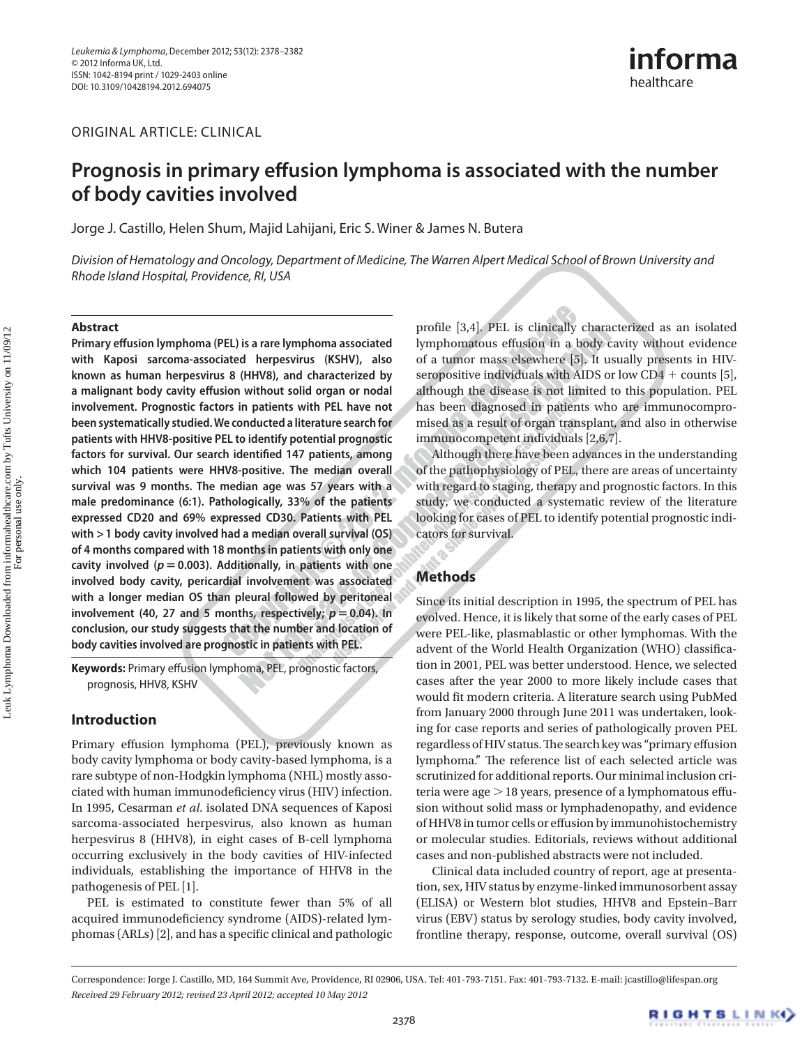ORIGINAL ARTICLE: CLINICAL

# **Prognosis in primary effusion lymphoma is associated with the number of body cavities involved**

Jorge J. Castillo, Helen Shum, Majid Lahijani, Eric S. Winer & James N. Butera

 Division of Hematology and Oncology, Department of Medicine, The Warren Alpert Medical School of Brown University and Rhode Island Hospital, Providence, RI, USA

#### **Abstract**

**Primary effusion lymphoma (PEL) is a rare lymphoma associated with Kaposi sarcoma-associated herpesvirus (KSHV), also known as human herpesvirus 8 (HHV8), and characterized by**  a malignant body cavity effusion without solid organ or nodal **involvement. Prognostic factors in patients with PEL have not been systematically studied. We conducted a literature search for patients with HHV8-positive PEL to identify potential prognostic**  factors for survival. Our search identified 147 patients, among **which 104 patients were HHV8-positive. The median overall survival was 9 months. The median age was 57 years with a male predominance (6:1). Pathologically, 33% of the patients expressed CD20 and 69% expressed CD30. Patients with PEL with > 1 body cavity involved had a median overall survival (OS) of 4 months compared with 18 months in patients with only one**  cavity involved ( $p = 0.003$ ). Additionally, in patients with one **involved body cavity, pericardial involvement was associated with a longer median OS than pleural followed by peritoneal involvement (40, 27 and 5 months, respectively;** *p*- **0.04). In conclusion, our study suggests that the number and location of body cavities involved are prognostic in patients with PEL.** 

**Keywords:** Primary effusion lymphoma, PEL, prognostic factors, prognosis, HHV8, KSHV

## **Introduction**

Primary effusion lymphoma (PEL), previously known as body cavity lymphoma or body cavity-based lymphoma, is a rare subtype of non-Hodgkin lymphoma (NHL) mostly associated with human immunodeficiency virus (HIV) infection. In 1995, Cesarman *et al* . isolated DNA sequences of Kaposi sarcoma-associated herpesvirus, also known as human herpesvirus 8 (HHV8), in eight cases of B-cell lymphoma occurring exclusively in the body cavities of HIV-infected individuals, establishing the importance of HHV8 in the pathogenesis of PEL [1].

 PEL is estimated to constitute fewer than 5% of all acquired immunodeficiency syndrome (AIDS)-related lymphomas (ARLs) [2], and has a specific clinical and pathologic profile [3,4]. PEL is clinically characterized as an isolated lymphomatous effusion in a body cavity without evidence of a tumor mass elsewhere [5]. It usually presents in HIVseropositive individuals with AIDS or low  $CD4 + \text{counts}$  [5], although the disease is not limited to this population. PEL has been diagnosed in patients who are immunocompromised as a result of organ transplant, and also in otherwise immunocompetent individuals [2,6,7].

 Although there have been advances in the understanding of the pathophysiology of PEL, there are areas of uncertainty with regard to staging, therapy and prognostic factors. In this study, we conducted a systematic review of the literature looking for cases of PEL to identify potential prognostic indicators for survival.

# **Methods**

 Since its initial description in 1995, the spectrum of PEL has evolved. Hence, it is likely that some of the early cases of PEL were PEL-like, plasmablastic or other lymphomas. With the advent of the World Health Organization (WHO) classification in 2001, PEL was better understood. Hence, we selected cases after the year 2000 to more likely include cases that would fit modern criteria. A literature search using PubMed from January 2000 through June 2011 was undertaken, looking for case reports and series of pathologically proven PEL regardless of HIV status. The search key was "primary effusion lymphoma." The reference list of each selected article was scrutinized for additional reports. Our minimal inclusion criteria were age  $>$  18 years, presence of a lymphomatous effusion without solid mass or lymphadenopathy, and evidence of HHV8 in tumor cells or effusion by immunohistochemistry or molecular studies. Editorials, reviews without additional cases and non-published abstracts were not included.

 Clinical data included country of report, age at presentation, sex, HIV status by enzyme-linked immunosorbent assay (ELISA) or Western blot studies, HHV8 and Epstein – Barr virus (EBV) status by serology studies, body cavity involved, frontline therapy, response, outcome, overall survival (OS)

For personal use only.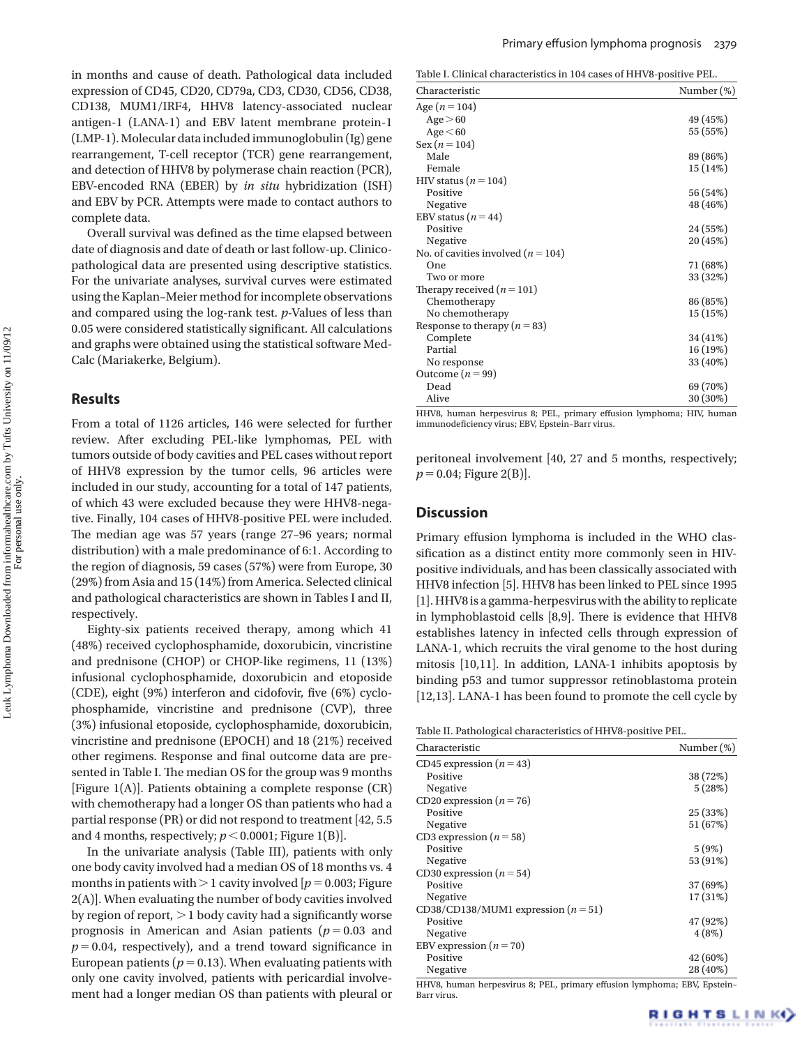in months and cause of death. Pathological data included expression of CD45, CD20, CD79a, CD3, CD30, CD56, CD38, CD138, MUM1/IRF4, HHV8 latency-associated nuclear antigen-1 (LANA-1) and EBV latent membrane protein-1 (LMP-1). Molecular data included immunoglobulin (Ig) gene rearrangement, T-cell receptor (TCR) gene rearrangement, and detection of HHV8 by polymerase chain reaction (PCR), EBV-encoded RNA (EBER) by *in situ* hybridization (ISH) and EBV by PCR. Attempts were made to contact authors to complete data.

Overall survival was defined as the time elapsed between date of diagnosis and date of death or last follow-up. Clinicopathological data are presented using descriptive statistics. For the univariate analyses, survival curves were estimated using the Kaplan – Meier method for incomplete observations and compared using the log-rank test. *p* -Values of less than 0.05 were considered statistically significant. All calculations and graphs were obtained using the statistical software Med-Calc (Mariakerke, Belgium).

### **Results**

 From a total of 1126 articles, 146 were selected for further review. After excluding PEL-like lymphomas, PEL with tumors outside of body cavities and PEL cases without report of HHV8 expression by the tumor cells, 96 articles were included in our study, accounting for a total of 147 patients, of which 43 were excluded because they were HHV8-negative. Finally, 104 cases of HHV8-positive PEL were included. The median age was 57 years (range 27-96 years; normal distribution) with a male predominance of 6:1. According to the region of diagnosis, 59 cases (57%) were from Europe, 30 (29%) from Asia and 15 (14%) from America. Selected clinical and pathological characteristics are shown in Tables I and II, respectively.

 Eighty-six patients received therapy, among which 41 (48%) received cyclophosphamide, doxorubicin, vincristine and prednisone (CHOP) or CHOP-like regimens, 11 (13%) infusional cyclophosphamide, doxorubicin and etoposide (CDE), eight  $(9\%)$  interferon and cidofovir, five  $(6\%)$  cyclophosphamide, vincristine and prednisone (CVP), three (3%) infusional etoposide, cyclophosphamide, doxorubicin, vincristine and prednisone (EPOCH) and 18 (21%) received other regimens. Response and final outcome data are presented in Table I. The median OS for the group was 9 months [Figure 1(A)]. Patients obtaining a complete response (CR) with chemotherapy had a longer OS than patients who had a partial response (PR) or did not respond to treatment [42, 5.5 and 4 months, respectively;  $p < 0.0001$ ; Figure 1(B).

 In the univariate analysis (Table III), patients with only one body cavity involved had a median OS of 18 months vs. 4 months in patients with  $> 1$  cavity involved  $[p = 0.003;$  Figure 2(A)]. When evaluating the number of body cavities involved by region of report,  $> 1$  body cavity had a significantly worse prognosis in American and Asian patients  $(p=0.03$  and  $p = 0.04$ , respectively), and a trend toward significance in European patients ( $p = 0.13$ ). When evaluating patients with only one cavity involved, patients with pericardial involvement had a longer median OS than patients with pleural or

Table I. Clinical characteristics in 104 cases of HHV8-positive PEL.

| Characteristic                     | Number $(\%)$ |
|------------------------------------|---------------|
| Age $(n = 104)$                    |               |
| Age > 60                           | 49 (45%)      |
| Age < 60                           | 55 (55%)      |
| $Sex(n = 104)$                     |               |
| Male                               | 89 (86%)      |
| Female                             | 15 (14%)      |
| HIV status $(n=104)$               |               |
| Positive                           | 56 (54%)      |
| Negative                           | 48 (46%)      |
| EBV status $(n=44)$                |               |
| Positive                           | 24(55%)       |
| Negative                           | 20 (45%)      |
| No. of cavities involved $(n=104)$ |               |
| One                                | 71 (68%)      |
| Two or more                        | 33 (32%)      |
| Therapy received $(n=101)$         |               |
| Chemotherapy                       | 86 (85%)      |
| No chemotherapy                    | 15(15%)       |
| Response to therapy $(n=83)$       |               |
| Complete                           | 34 (41\%)     |
| Partial                            | 16 (19%)      |
| No response                        | 33 (40%)      |
| Outcome $(n=99)$                   |               |
| Dead                               | 69 (70%)      |
| Alive                              | 30 (30%)      |

HHV8, human herpesvirus 8; PEL, primary effusion lymphoma; HIV, human immunodeficiency virus; EBV, Epstein-Barr virus.

peritoneal involvement [40, 27 and 5 months, respectively;  $p = 0.04$ ; Figure 2(B).

#### **Discussion**

Primary effusion lymphoma is included in the WHO classification as a distinct entity more commonly seen in HIVpositive individuals, and has been classically associated with HHV8 infection [5]. HHV8 has been linked to PEL since 1995 [1]. HHV8 is a gamma-herpesvirus with the ability to replicate in lymphoblastoid cells  $[8,9]$ . There is evidence that HHV8 establishes latency in infected cells through expression of LANA-1, which recruits the viral genome to the host during mitosis [10,11]. In addition, LANA-1 inhibits apoptosis by binding p53 and tumor suppressor retinoblastoma protein [12,13]. LANA-1 has been found to promote the cell cycle by

|  | Table II. Pathological characteristics of HHV8-positive PEL. |  |
|--|--------------------------------------------------------------|--|
|  |                                                              |  |

| Characteristic                      | Number (%) |
|-------------------------------------|------------|
| CD45 expression $(n=43)$            |            |
| Positive                            | 38 (72%)   |
| Negative                            | 5(28%)     |
| CD20 expression $(n=76)$            |            |
| Positive                            | 25(33%)    |
| Negative                            | 51 (67%)   |
| CD3 expression $(n=58)$             |            |
| Positive                            | 5(9%)      |
| Negative                            | 53 (91%)   |
| CD30 expression $(n=54)$            |            |
| Positive                            | 37 (69%)   |
| Negative                            | $17(31\%)$ |
| CD38/CD138/MUM1 expression $(n=51)$ |            |
| Positive                            | 47 (92%)   |
| Negative                            | $4(8\%)$   |
| EBV expression $(n=70)$             |            |
| Positive                            | 42 (60%)   |
| Negative                            | 28 (40%)   |

HHV8, human herpesvirus 8; PEL, primary effusion lymphoma; EBV, Epstein-Barr virus.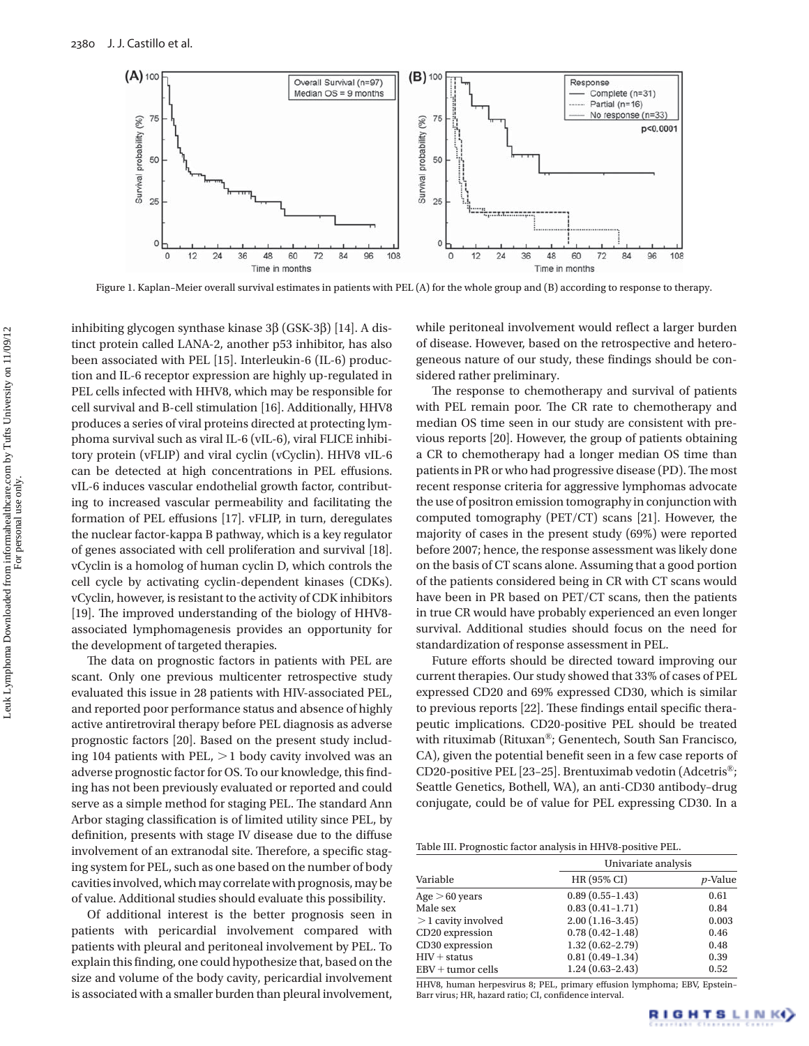

Figure 1. Kaplan – Meier overall survival estimates in patients with PEL (A) for the whole group and (B) according to response to therapy.

inhibiting glycogen synthase kinase  $3\beta$  (GSK-3 $\beta$ ) [14]. A distinct protein called LANA-2, another p53 inhibitor, has also been associated with PEL [15]. Interleukin-6 (IL-6) production and IL-6 receptor expression are highly up-regulated in PEL cells infected with HHV8, which may be responsible for cell survival and B-cell stimulation [16]. Additionally, HHV8 produces a series of viral proteins directed at protecting lymphoma survival such as viral IL-6 (vIL-6), viral FLICE inhibitory protein (vFLIP) and viral cyclin (vCyclin). HHV8 vIL-6 can be detected at high concentrations in PEL effusions. vIL-6 induces vascular endothelial growth factor, contributing to increased vascular permeability and facilitating the formation of PEL effusions [17]. vFLIP, in turn, deregulates the nuclear factor-kappa B pathway, which is a key regulator of genes associated with cell proliferation and survival [18]. vCyclin is a homolog of human cyclin D, which controls the cell cycle by activating cyclin-dependent kinases (CDKs). vCyclin, however, is resistant to the activity of CDK inhibitors [19]. The improved understanding of the biology of HHV8associated lymphomagenesis provides an opportunity for the development of targeted therapies.

The data on prognostic factors in patients with PEL are scant. Only one previous multicenter retrospective study evaluated this issue in 28 patients with HIV-associated PEL, and reported poor performance status and absence of highly active antiretroviral therapy before PEL diagnosis as adverse prognostic factors [20]. Based on the present study including 104 patients with PEL,  $>$  1 body cavity involved was an adverse prognostic factor for OS. To our knowledge, this finding has not been previously evaluated or reported and could serve as a simple method for staging PEL. The standard Ann Arbor staging classification is of limited utility since PEL, by definition, presents with stage IV disease due to the diffuse involvement of an extranodal site. Therefore, a specific staging system for PEL, such as one based on the number of body cavities involved, which may correlate with prognosis, may be of value. Additional studies should evaluate this possibility.

 Of additional interest is the better prognosis seen in patients with pericardial involvement compared with patients with pleural and peritoneal involvement by PEL. To explain this finding, one could hypothesize that, based on the size and volume of the body cavity, pericardial involvement is associated with a smaller burden than pleural involvement,

while peritoneal involvement would reflect a larger burden of disease. However, based on the retrospective and heterogeneous nature of our study, these findings should be considered rather preliminary.

The response to chemotherapy and survival of patients with PEL remain poor. The CR rate to chemotherapy and median OS time seen in our study are consistent with previous reports [20]. However, the group of patients obtaining a CR to chemotherapy had a longer median OS time than patients in PR or who had progressive disease (PD). The most recent response criteria for aggressive lymphomas advocate the use of positron emission tomography in conjunction with computed tomography (PET/CT) scans [21]. However, the majority of cases in the present study (69%) were reported before 2007; hence, the response assessment was likely done on the basis of CT scans alone. Assuming that a good portion of the patients considered being in CR with CT scans would have been in PR based on PET/CT scans, then the patients in true CR would have probably experienced an even longer survival. Additional studies should focus on the need for standardization of response assessment in PEL.

Future efforts should be directed toward improving our current therapies. Our study showed that 33% of cases of PEL expressed CD20 and 69% expressed CD30, which is similar to previous reports [22]. These findings entail specific therapeutic implications. CD20-positive PEL should be treated with rituximab (Rituxan®; Genentech, South San Francisco, CA), given the potential benefit seen in a few case reports of CD20-positive PEL [23-25]. Brentuximab vedotin (Adcetris®; Seattle Genetics, Bothell, WA), an anti-CD30 antibody – drug conjugate, could be of value for PEL expressing CD30. In a

Table III. Prognostic factor analysis in HHV8-positive PEL.

|                      | Univariate analysis |            |  |
|----------------------|---------------------|------------|--|
| Variable             | HR (95% CI)         | $p$ -Value |  |
| Age $>60$ years      | $0.89(0.55 - 1.43)$ | 0.61       |  |
| Male sex             | $0.83(0.41 - 1.71)$ | 0.84       |  |
| $>1$ cavity involved | $2.00(1.16-3.45)$   | 0.003      |  |
| CD20 expression      | $0.78(0.42 - 1.48)$ | 0.46       |  |
| CD30 expression      | $1.32(0.62 - 2.79)$ | 0.48       |  |
| $HIV + status$       | $0.81(0.49-1.34)$   | 0.39       |  |
| EBV + tumor cells    | $1.24(0.63 - 2.43)$ | 0.52       |  |
|                      |                     |            |  |

HHV8, human herpesvirus 8; PEL, primary effusion lymphoma; EBV, Epstein-Barr virus; HR, hazard ratio; CI, confidence interval.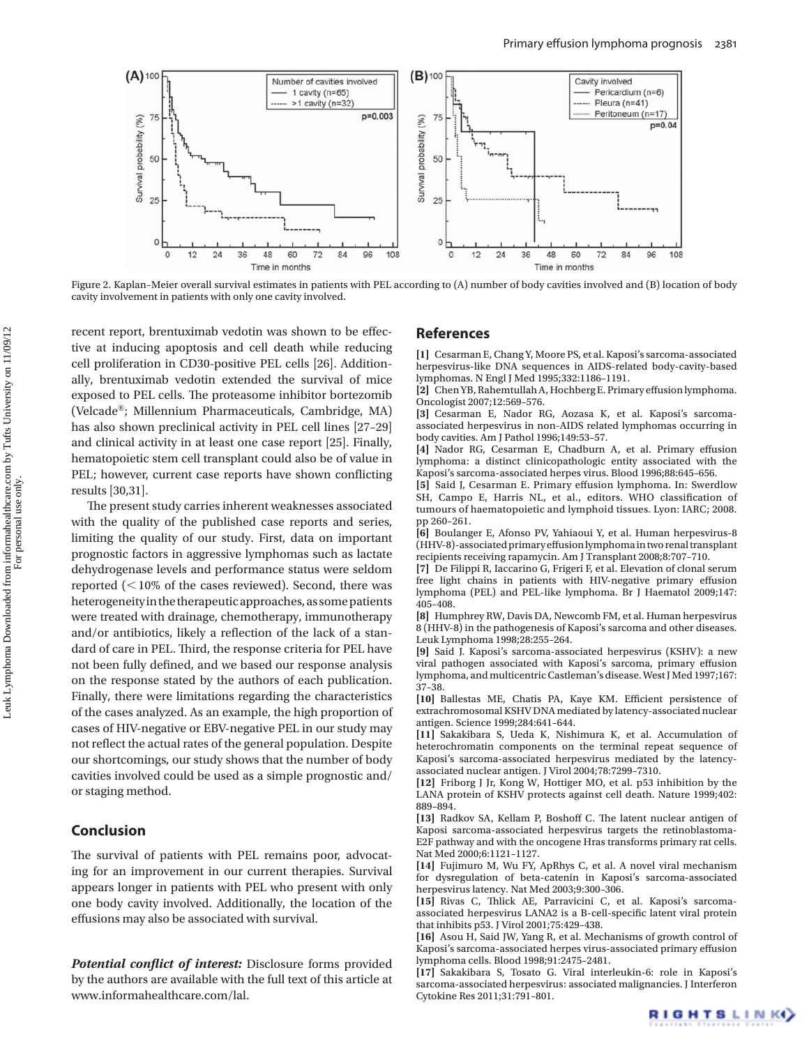

 Figure 2. Kaplan – Meier overall survival estimates in patients with PEL according to (A) number of body cavities involved and (B) location of body cavity involvement in patients with only one cavity involved.

recent report, brentuximab vedotin was shown to be effective at inducing apoptosis and cell death while reducing cell proliferation in CD30-positive PEL cells [26]. Additionally, brentuximab vedotin extended the survival of mice exposed to PEL cells. The proteasome inhibitor bortezomib (Velcade<sup>®</sup>; Millennium Pharmaceuticals, Cambridge, MA) has also shown preclinical activity in PEL cell lines [27-29] and clinical activity in at least one case report [25]. Finally, hematopoietic stem cell transplant could also be of value in PEL; however, current case reports have shown conflicting results [30,31].

The present study carries inherent weaknesses associated with the quality of the published case reports and series, limiting the quality of our study. First, data on important prognostic factors in aggressive lymphomas such as lactate dehydrogenase levels and performance status were seldom reported  $\approx 10\%$  of the cases reviewed). Second, there was heterogeneity in the therapeutic approaches, as some patients were treated with drainage, chemotherapy, immunotherapy and/or antibiotics, likely a reflection of the lack of a standard of care in PEL. Third, the response criteria for PEL have not been fully defined, and we based our response analysis on the response stated by the authors of each publication. Finally, there were limitations regarding the characteristics of the cases analyzed. As an example, the high proportion of cases of HIV-negative or EBV-negative PEL in our study may not reflect the actual rates of the general population. Despite our shortcomings, our study shows that the number of body cavities involved could be used as a simple prognostic and/ or staging method.

### **Conclusion**

The survival of patients with PEL remains poor, advocating for an improvement in our current therapies. Survival appears longer in patients with PEL who present with only one body cavity involved. Additionally, the location of the effusions may also be associated with survival.

**Potential conflict of interest:** Disclosure forms provided by the authors are available with the full text of this article at www.informahealthcare.com/lal.

#### **References**

[1] Cesarman E, Chang Y, Moore PS, et al. Kaposi's sarcoma-associated herpesvirus-like DNA sequences in AIDS-related body-cavity-based lymphomas. N Engl J Med 1995;332:1186-1191.

[2] Chen YB, Rahemtullah A, Hochberg E. Primary effusion lymphoma. Oncologist 2007;12:569 – 576.

[3] Cesarman E, Nador RG, Aozasa K, et al. Kaposi's sarcomaassociated herpesvirus in non-AIDS related lymphomas occurring in body cavities. Am J Pathol 1996;149:53-57.

[4] Nador RG, Cesarman E, Chadburn A, et al. Primary effusion lymphoma: a distinct clinicopathologic entity associated with the Kaposi's sarcoma-associated herpes virus. Blood 1996;88:645-656.

[5] Said J, Cesarman E. Primary effusion lymphoma. In: Swerdlow SH, Campo E, Harris NL, et al., editors. WHO classification of tumours of haematopoietic and lymphoid tissues. Lyon: IARC; 2008. pp 260 – 261.

**[6]** Boulanger E, Afonso PV, Yahiaoui Y, et al. Human herpesvirus-8 (HHV-8)-associated primary effusion lymphoma in two renal transplant recipients receiving rapamycin. Am J Transplant 2008;8:707 – 710.

**[7]** De Filippi R, Iaccarino G, Frigeri F, et al. Elevation of clonal serum free light chains in patients with HIV-negative primary effusion lymphoma (PEL) and PEL-like lymphoma. Br J Haematol 2009;147: 405 – 408.

**[8]** Humphrey RW, Davis DA, Newcomb FM, et al. Human herpesvirus 8 (HHV-8) in the pathogenesis of Kaposi's sarcoma and other diseases. Leuk Lymphoma 1998;28:255 – 264.

[9] Said J. Kaposi's sarcoma-associated herpesvirus (KSHV): a new viral pathogen associated with Kaposi's sarcoma, primary effusion lymphoma, and multicentric Castleman's disease. West J Med 1997;167: 37 – 38.

[10] Ballestas ME, Chatis PA, Kaye KM. Efficient persistence of extrachromosomal KSHV DNA mediated by latency-associated nuclear antigen. Science 1999;284:641 – 644.

**[11]** Sakakibara S, Ueda K, Nishimura K, et al. Accumulation of heterochromatin components on the terminal repeat sequence of Kaposi's sarcoma-associated herpesvirus mediated by the latencyassociated nuclear antigen. J Virol 2004;78:7299 – 7310.

**[12]** Friborg J Jr, Kong W, Hottiger MO, et al. p53 inhibition by the LANA protein of KSHV protects against cell death. Nature 1999;402: 889-894

[13] Radkov SA, Kellam P, Boshoff C. The latent nuclear antigen of Kaposi sarcoma-associated herpesvirus targets the retinoblastoma-E2F pathway and with the oncogene Hras transforms primary rat cells. Nat Med 2000;6:1121-1127.

**[14]** Fujimuro M, Wu FY, ApRhys C, et al. A novel viral mechanism for dysregulation of beta-catenin in Kaposi's sarcoma-associated herpesvirus latency. Nat Med 2003;9:300-306.

[15] Rivas C, Thlick AE, Parravicini C, et al. Kaposi's sarcomaassociated herpesvirus LANA2 is a B-cell-specific latent viral protein that inhibits p53. J Virol 2001;75:429 – 438.

**[16]** Asou H, Said JW, Yang R, et al. Mechanisms of growth control of Kaposi's sarcoma-associated herpes virus-associated primary effusion lymphoma cells. Blood 1998;91:2475 – 2481.

[17] Sakakibara S, Tosato G. Viral interleukin-6: role in Kaposi's sarcoma-associated herpesvirus: associated malignancies. J Interferon Cytokine Res 2011;31:791 – 801.